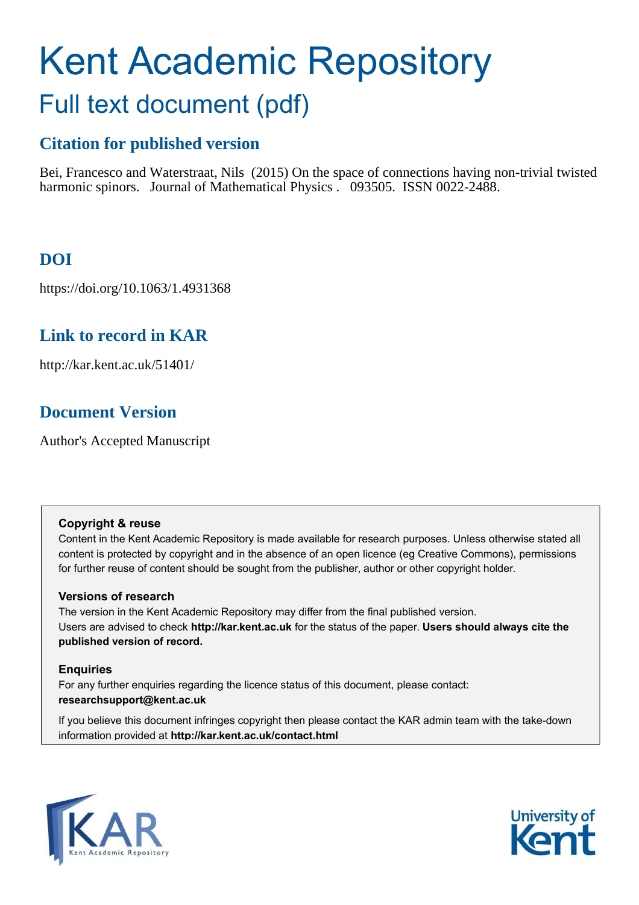# Kent Academic Repository Full text document (pdf)

# **Citation for published version**

Bei, Francesco and Waterstraat, Nils (2015) On the space of connections having non-trivial twisted harmonic spinors. Journal of Mathematical Physics . 093505. ISSN 0022-2488.

# **DOI**

https://doi.org/10.1063/1.4931368

# **Link to record in KAR**

http://kar.kent.ac.uk/51401/

# **Document Version**

Author's Accepted Manuscript

## **Copyright & reuse**

Content in the Kent Academic Repository is made available for research purposes. Unless otherwise stated all content is protected by copyright and in the absence of an open licence (eg Creative Commons), permissions for further reuse of content should be sought from the publisher, author or other copyright holder.

## **Versions of research**

The version in the Kent Academic Repository may differ from the final published version. Users are advised to check **http://kar.kent.ac.uk** for the status of the paper. **Users should always cite the published version of record.**

## **Enquiries**

For any further enquiries regarding the licence status of this document, please contact: **researchsupport@kent.ac.uk**

If you believe this document infringes copyright then please contact the KAR admin team with the take-down information provided at **http://kar.kent.ac.uk/contact.html**



<span id="page-0-0"></span>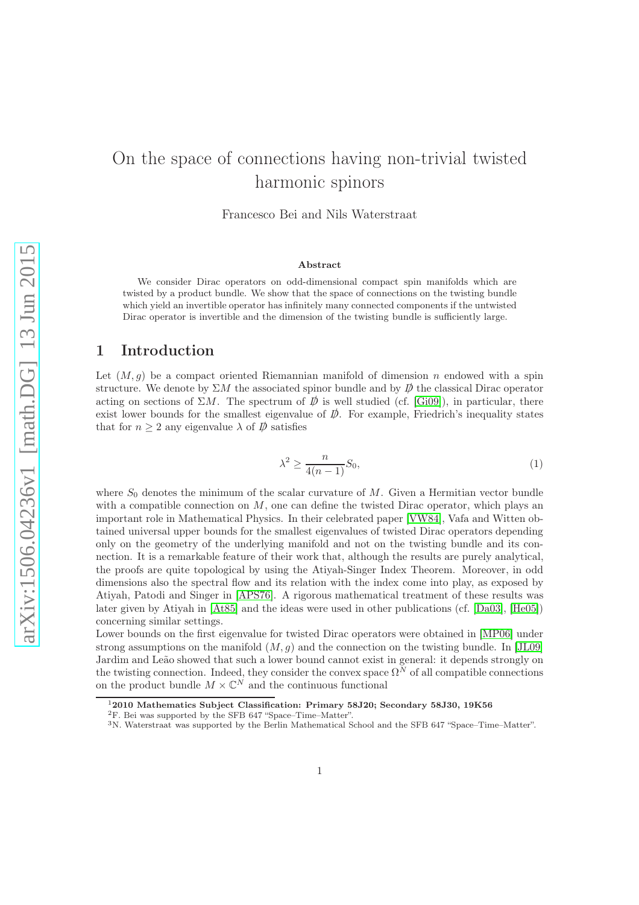# On the space of connections having non-trivial twisted harmonic spinors

Francesco Bei and Nils Waterstraat

#### <span id="page-1-0"></span>Abstract

We consider Dirac operators on odd-dimensional compact spin manifolds which are twisted by a product bundle. We show that the space of connections on the twisting bundle which yield an invertible operator has infinitely many connected components if the untwisted Dirac operator is invertible and the dimension of the twisting bundle is sufficiently large.

## 1 Introduction

Let  $(M, g)$  be a compact oriented Riemannian manifold of dimension n endowed with a spin structure. We denote by  $\Sigma M$  the associated spinor bundle and by  $\not{\!\not\!D}$  the classical Dirac operator acting on sections of  $\Sigma M$ . The spectrum of  $\vec{D}$  is well studied (cf. [\[Gi09\]](#page-7-0)), in particular, there exist lower bounds for the smallest eigenvalue of  $\rlap{\,/}D$ . For example, Friedrich's inequality states that for  $n \geq 2$  any eigenvalue  $\lambda$  of  $\overline{p}$  satisfies

$$
\lambda^2 \ge \frac{n}{4(n-1)} S_0,\tag{1}
$$

where  $S_0$  denotes the minimum of the scalar curvature of  $M$ . Given a Hermitian vector bundle with a compatible connection on  $M$ , one can define the twisted Dirac operator, which plays an important role in Mathematical Physics. In their celebrated paper [\[VW84\]](#page-7-1), Vafa and Witten obtained universal upper bounds for the smallest eigenvalues of twisted Dirac operators depending only on the geometry of the underlying manifold and not on the twisting bundle and its connection. It is a remarkable feature of their work that, although the results are purely analytical, the proofs are quite topological by using the Atiyah-Singer Index Theorem. Moreover, in odd dimensions also the spectral flow and its relation with the index come into play, as exposed by Atiyah, Patodi and Singer in [\[APS76\]](#page-7-2). A rigorous mathematical treatment of these results was later given by Atiyah in [\[At85\]](#page-7-3) and the ideas were used in other publications (cf. [\[Da03\]](#page-7-4), [\[He05\]](#page-7-5)) concerning similar settings.

Lower bounds on the first eigenvalue for twisted Dirac operators were obtained in [\[MP06\]](#page-7-6) under strong assumptions on the manifold  $(M, g)$  and the connection on the twisting bundle. In [\[JL09\]](#page-7-7) Jardim and Leão showed that such a lower bound cannot exist in general: it depends strongly on the twisting connection. Indeed, they consider the convex space  $\Omega^N$  of all compatible connections on the product bundle  $M \times \mathbb{C}^N$  and the continuous functional

<sup>1</sup>2010 Mathematics Subject Classification: Primary 58J20; Secondary 58J30, 19K56

<sup>2</sup>F. Bei was supported by the SFB 647 "Space–Time–Matter".

<sup>3</sup>N. Waterstraat was supported by the Berlin Mathematical School and the SFB 647 "Space–Time–Matter".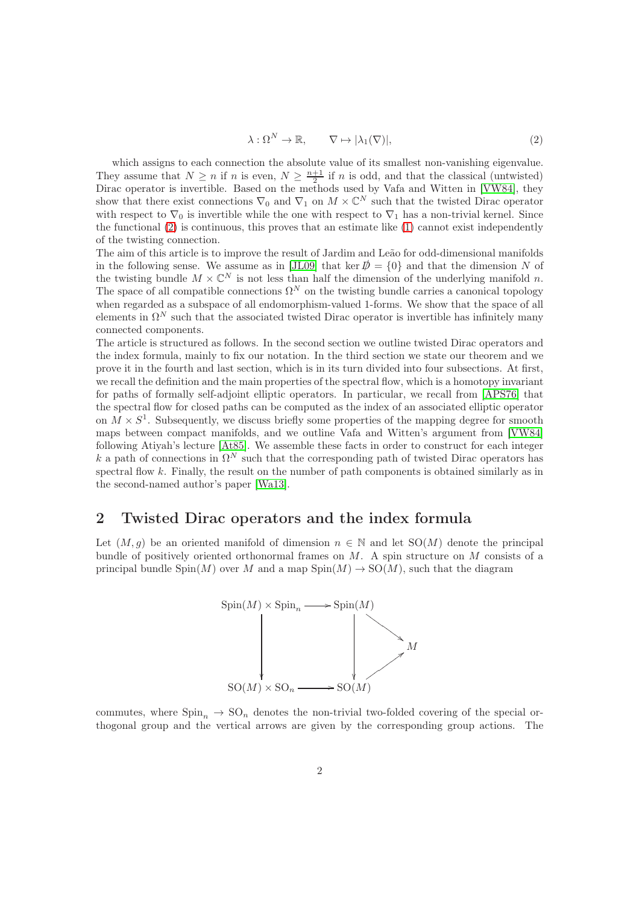<span id="page-2-0"></span>
$$
\lambda: \Omega^N \to \mathbb{R}, \qquad \nabla \mapsto |\lambda_1(\nabla)|,\tag{2}
$$

which assigns to each connection the absolute value of its smallest non-vanishing eigenvalue. They assume that  $N \geq n$  if n is even,  $N \geq \frac{n+1}{2}$  if n is odd, and that the classical (untwisted) Dirac operator is invertible. Based on the methods used by Vafa and Witten in [\[VW84\]](#page-7-1), they show that there exist connections  $\nabla_0$  and  $\nabla_1$  on  $M \times \mathbb{C}^N$  such that the twisted Dirac operator with respect to  $\nabla_0$  is invertible while the one with respect to  $\nabla_1$  has a non-trivial kernel. Since the functional [\(2\)](#page-1-0) is continuous, this proves that an estimate like [\(1\)](#page-0-0) cannot exist independently of the twisting connection.

The aim of this article is to improve the result of Jardim and Leão for odd-dimensional manifolds in the following sense. We assume as in [\[JL09\]](#page-7-7) that ker  $\mathcal{D} = \{0\}$  and that the dimension N of the twisting bundle  $M \times \mathbb{C}^N$  is not less than half the dimension of the underlying manifold n. The space of all compatible connections  $\Omega^N$  on the twisting bundle carries a canonical topology when regarded as a subspace of all endomorphism-valued 1-forms. We show that the space of all elements in  $\Omega^N$  such that the associated twisted Dirac operator is invertible has infinitely many connected components.

The article is structured as follows. In the second section we outline twisted Dirac operators and the index formula, mainly to fix our notation. In the third section we state our theorem and we prove it in the fourth and last section, which is in its turn divided into four subsections. At first, we recall the definition and the main properties of the spectral flow, which is a homotopy invariant for paths of formally self-adjoint elliptic operators. In particular, we recall from [\[APS76\]](#page-7-2) that the spectral flow for closed paths can be computed as the index of an associated elliptic operator on  $M \times S^1$ . Subsequently, we discuss briefly some properties of the mapping degree for smooth maps between compact manifolds, and we outline Vafa and Witten's argument from [\[VW84\]](#page-7-1) following Atiyah's lecture [\[At85\]](#page-7-3). We assemble these facts in order to construct for each integer k a path of connections in  $\Omega^N$  such that the corresponding path of twisted Dirac operators has spectral flow  $k$ . Finally, the result on the number of path components is obtained similarly as in the second-named author's paper [\[Wa13\]](#page-7-8).

## 2 Twisted Dirac operators and the index formula

Let  $(M, q)$  be an oriented manifold of dimension  $n \in \mathbb{N}$  and let  $SO(M)$  denote the principal bundle of positively oriented orthonormal frames on  $M$ . A spin structure on  $M$  consists of a principal bundle Spin $(M)$  over M and a map  $Spin(M) \to SO(M)$ , such that the diagram

<span id="page-2-1"></span>

commutes, where  $\text{Spin}_n \to \text{SO}_n$  denotes the non-trivial two-folded covering of the special orthogonal group and the vertical arrows are given by the corresponding group actions. The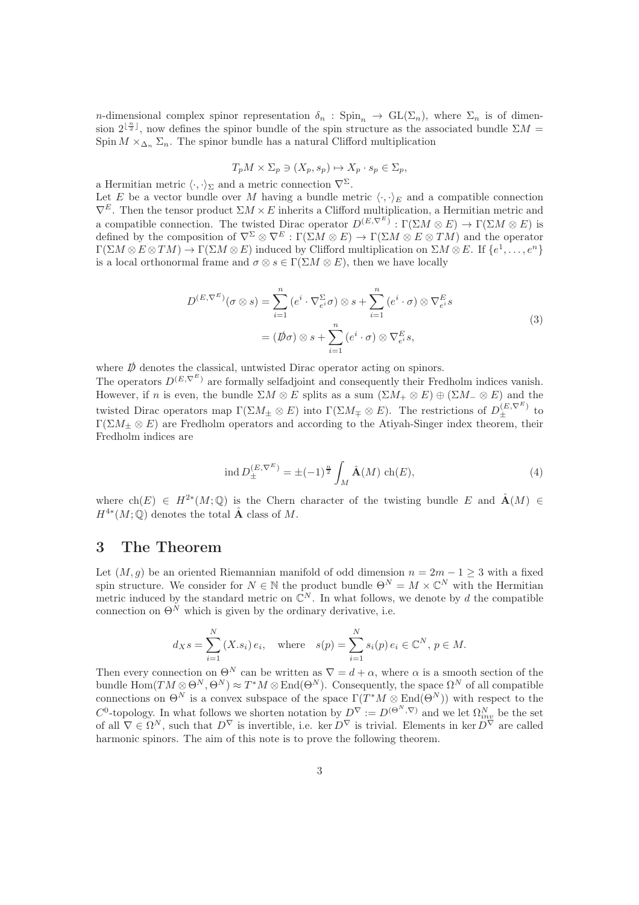<span id="page-3-0"></span>n-dimensional complex spinor representation  $\delta_n$ : Spin<sub>n</sub>  $\to$  GL( $\Sigma_n$ ), where  $\Sigma_n$  is of dimension  $2^{\lfloor \frac{n}{2} \rfloor}$ , now defines the spinor bundle of the spin structure as the associated bundle  $\Sigma M =$ Spin  $M \times_{\Delta_n} \Sigma_n$ . The spinor bundle has a natural Clifford multiplication

$$
T_p M \times \Sigma_p \ni (X_p, s_p) \mapsto X_p \cdot s_p \in \Sigma_p,
$$

a Hermitian metric  $\langle \cdot, \cdot \rangle_{\Sigma}$  and a metric connection  $\nabla^{\Sigma}$ .

Let E be a vector bundle over M having a bundle metric  $\langle \cdot, \cdot \rangle_E$  and a compatible connection  $\nabla^E$ . Then the tensor product  $\Sigma M \times E$  inherits a Clifford multiplication, a Hermitian metric and a compatible connection. The twisted Dirac operator  $D^{(E,\nabla^E)} : \Gamma(\Sigma M \otimes E) \to \Gamma(\Sigma M \otimes E)$  is defined by the composition of  $\nabla^{\Sigma} \otimes \nabla^E : \Gamma(\Sigma M \otimes E) \to \Gamma(\Sigma M \otimes E \otimes TM)$  and the operator  $\Gamma(\Sigma M \otimes E \otimes TM) \to \Gamma(\Sigma M \otimes E)$  induced by Clifford multiplication on  $\Sigma M \otimes E$ . If  $\{e^1, \ldots, e^n\}$ is a local orthonormal frame and  $\sigma \otimes s \in \Gamma(\Sigma M \otimes E)$ , then we have locally

$$
D^{(E,\nabla^{E})}(\sigma \otimes s) = \sum_{i=1}^{n} (e^{i} \cdot \nabla_{e^{i}}^{\Sigma} \sigma) \otimes s + \sum_{i=1}^{n} (e^{i} \cdot \sigma) \otimes \nabla_{e^{i}}^{E} s
$$
  

$$
= (\not{D}\sigma) \otimes s + \sum_{i=1}^{n} (e^{i} \cdot \sigma) \otimes \nabla_{e^{i}}^{E} s,
$$
 (3)

where  $D\!\!\!\!/$  denotes the classical, untwisted Dirac operator acting on spinors. The operators  $D^{(E,\nabla^E)}$  are formally selfadjoint and consequently their Fredholm indices vanish. However, if n is even, the bundle  $\Sigma M \otimes E$  splits as a sum  $(\Sigma M_+ \otimes E) \oplus (\Sigma M_- \otimes E)$  and the twisted Dirac operators map  $\Gamma(\Sigma M_{\pm}\otimes E)$  into  $\Gamma(\Sigma M_{\mp}\otimes E)$ . The restrictions of  $D_{\pm}^{(E,\nabla^{E})}$  to  $\Gamma(\Sigma M_{\pm}\otimes E)$  are Fredholm operators and according to the Atiyah-Singer index theorem, their Fredholm indices are

$$
\text{ind } D_{\pm}^{(E, \nabla^E)} = \pm (-1)^{\frac{n}{2}} \int_M \hat{\mathbf{A}}(M) \, \text{ch}(E),\tag{4}
$$

where  $\text{ch}(E) \in H^{2*}(M; \mathbb{Q})$  is the Chern character of the twisting bundle E and  $\hat{A}(M) \in$  $H^{4*}(M; \mathbb{Q})$  denotes the total  $\hat{A}$  class of M.

#### 3 The Theorem

<span id="page-3-1"></span>Let  $(M, g)$  be an oriented Riemannian manifold of odd dimension  $n = 2m - 1 \geq 3$  with a fixed spin structure. We consider for  $N \in \mathbb{N}$  the product bundle  $\Theta^N = M \times \mathbb{C}^N$  with the Hermitian metric induced by the standard metric on  $\mathbb{C}^N$ . In what follows, we denote by d the compatible connection on  $\Theta^{\check{N}}$  which is given by the ordinary derivative, i.e.

$$
d_X s = \sum_{i=1}^N (X.s_i) e_i
$$
, where  $s(p) = \sum_{i=1}^N s_i(p) e_i \in \mathbb{C}^N$ ,  $p \in M$ .

Then every connection on  $\Theta^N$  can be written as  $\nabla = d + \alpha$ , where  $\alpha$  is a smooth section of the bundle  $\text{Hom}(TM \otimes \Theta^N, \Theta^N) \approx T^*M \otimes \text{End}(\Theta^N)$ . Consequently, the space  $\Omega^N$  of all compatible connections on  $\Theta^N$  is a convex subspace of the space  $\Gamma(T^*M\otimes \text{End}(\Theta^N))$  with respect to the  $C^0$ -topology. In what follows we shorten notation by  $D^{\nabla} := D^{(\Theta^N, \nabla)}$  and we let  $\Omega_{inv}^N$  be the set of all  $\nabla \in \Omega^N$ , such that  $D^{\nabla}$  is invertible, i.e. ker  $D^{\nabla}$  is trivial. Elements in ker  $D^{\nabla}$  are called harmonic spinors. The aim of this note is to prove the following theorem.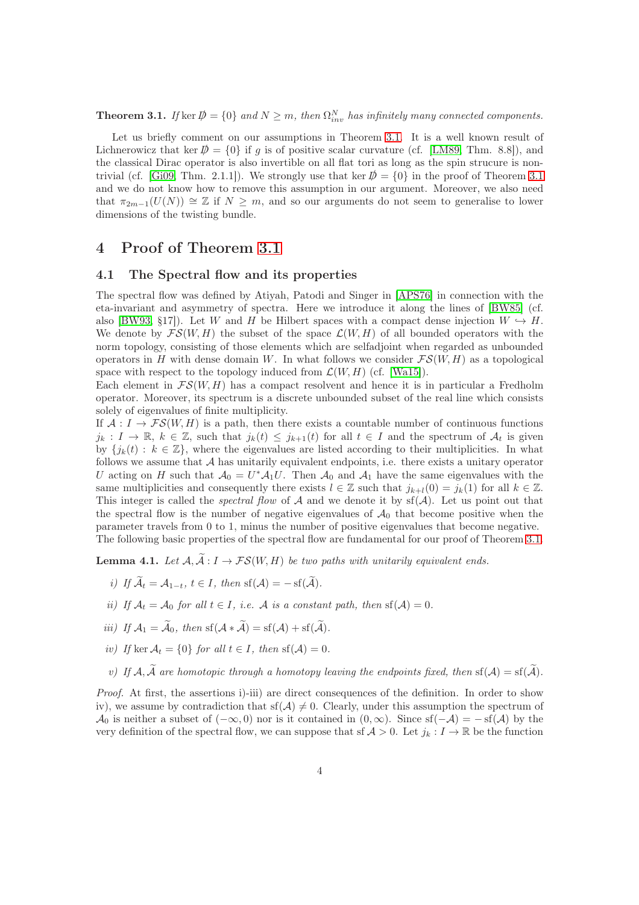**Theorem 3.1.** If ker  $\mathcal{D} = \{0\}$  and  $N \geq m$ , then  $\Omega_{inv}^N$  has infinitely many connected components.

Let us briefly comment on our assumptions in Theorem [3.1.](#page-3-0) It is a well known result of Lichnerowicz that ker  $\mathcal{D} = \{0\}$  if q is of positive scalar curvature (cf. [\[LM89,](#page-7-9) Thm. 8.8]), and the classical Dirac operator is also invertible on all flat tori as long as the spin strucure is non-trivial (cf. [\[Gi09,](#page-7-0) Thm. 2.1.1]). We strongly use that ker  $\bar{p} = \{0\}$  in the proof of Theorem [3.1](#page-3-0) and we do not know how to remove this assumption in our argument. Moreover, we also need that  $\pi_{2m-1}(U(N)) \cong \mathbb{Z}$  if  $N \geq m$ , and so our arguments do not seem to generalise to lower dimensions of the twisting bundle.

#### 4 Proof of Theorem [3.1](#page-3-0)

#### 4.1 The Spectral flow and its properties

The spectral flow was defined by Atiyah, Patodi and Singer in [\[APS76\]](#page-7-2) in connection with the eta-invariant and asymmetry of spectra. Here we introduce it along the lines of [\[BW85\]](#page-7-10) (cf. also [\[BW93,](#page-7-11) §17]). Let W and H be Hilbert spaces with a compact dense injection  $W \hookrightarrow H$ . We denote by  $\mathcal{FS}(W, H)$  the subset of the space  $\mathcal{L}(W, H)$  of all bounded operators with the norm topology, consisting of those elements which are selfadjoint when regarded as unbounded operators in H with dense domain W. In what follows we consider  $\mathcal{FS}(W, H)$  as a topological space with respect to the topology induced from  $\mathcal{L}(W, H)$  (cf. [\[Wa15\]](#page-8-0)).

Each element in  $FS(W, H)$  has a compact resolvent and hence it is in particular a Fredholm operator. Moreover, its spectrum is a discrete unbounded subset of the real line which consists solely of eigenvalues of finite multiplicity.

If  $\mathcal{A}: I \to \mathcal{FS}(W, H)$  is a path, then there exists a countable number of continuous functions  $j_k: I \to \mathbb{R}, k \in \mathbb{Z}$ , such that  $j_k(t) \leq j_{k+1}(t)$  for all  $t \in I$  and the spectrum of  $\mathcal{A}_t$  is given by  ${j_k(t): k \in \mathbb{Z}}$ , where the eigenvalues are listed according to their multiplicities. In what follows we assume that  $A$  has unitarily equivalent endpoints, i.e. there exists a unitary operator U acting on H such that  $A_0 = U^* A_1 U$ . Then  $A_0$  and  $A_1$  have the same eigenvalues with the same multiplicities and consequently there exists  $l \in \mathbb{Z}$  such that  $j_{k+l}(0) = j_k(1)$  for all  $k \in \mathbb{Z}$ . This integer is called the *spectral flow* of  $A$  and we denote it by  $sf(A)$ . Let us point out that the spectral flow is the number of negative eigenvalues of  $\mathcal{A}_0$  that become positive when the parameter travels from 0 to 1, minus the number of positive eigenvalues that become negative. The following basic properties of the spectral flow are fundamental for our proof of Theorem [3.1.](#page-3-0)

**Lemma 4.1.** Let  $A, \widetilde{A}: I \to \mathcal{FS}(W, H)$  be two paths with unitarily equivalent ends.

- <span id="page-4-0"></span>i) If  $\widetilde{\mathcal{A}}_t = \mathcal{A}_{1-t}$ ,  $t \in I$ , then  $\text{sf}(\mathcal{A}) = -\text{sf}(\widetilde{\mathcal{A}})$ .
- ii) If  $A_t = A_0$  for all  $t \in I$ , i.e. A is a constant path, then  $sf(A) = 0$ .
- iii) If  $\mathcal{A}_1 = \widetilde{\mathcal{A}}_0$ , then sf( $\mathcal{A} * \widetilde{\mathcal{A}}$ ) = sf( $\mathcal{A}$ ) + sf( $\widetilde{\mathcal{A}}$ ).
- iv) If ker  $A_t = \{0\}$  for all  $t \in I$ , then  $sf(A) = 0$ .
- v) If  $\mathcal{A}, \widetilde{\mathcal{A}}$  are homotopic through a homotopy leaving the endpoints fixed, then  $\text{sf}(\mathcal{A}) = \text{sf}(\widetilde{\mathcal{A}})$ .

Proof. At first, the assertions i)-iii) are direct consequences of the definition. In order to show iv), we assume by contradiction that  $sf(\mathcal{A})\neq 0$ . Clearly, under this assumption the spectrum of  $\mathcal{A}_0$  is neither a subset of  $(-\infty, 0)$  nor is it contained in  $(0, \infty)$ . Since  $sf(-\mathcal{A}) = -sf(\mathcal{A})$  by the very definition of the spectral flow, we can suppose that sf  $\mathcal{A} > 0$ . Let  $j_k : I \to \mathbb{R}$  be the function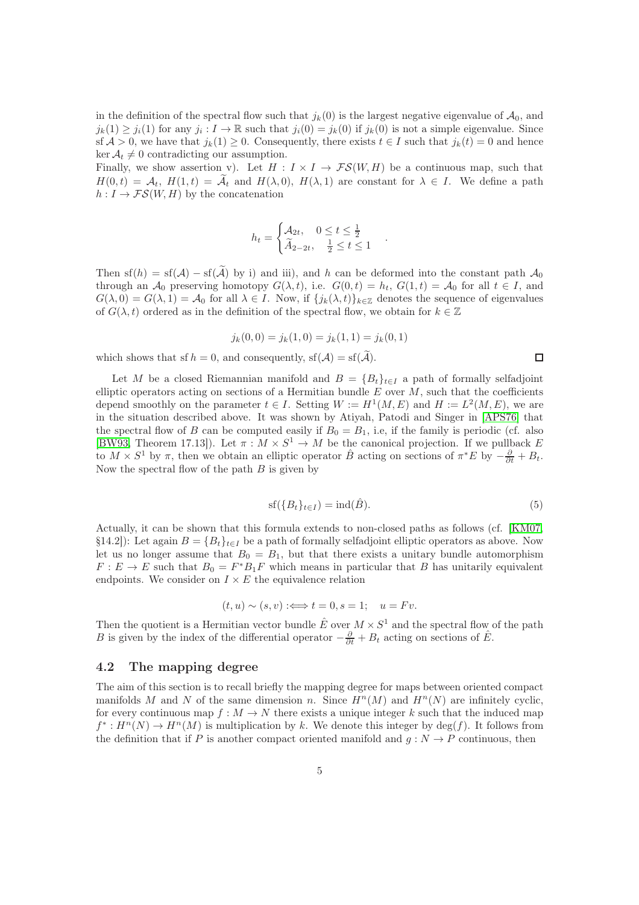in the definition of the spectral flow such that  $j_k(0)$  is the largest negative eigenvalue of  $\mathcal{A}_0$ , and  $j_k(1) \geq j_i(1)$  for any  $j_i: I \to \mathbb{R}$  such that  $j_i(0) = j_k(0)$  if  $j_k(0)$  is not a simple eigenvalue. Since sf  $A > 0$ , we have that  $j_k(1) \geq 0$ . Consequently, there exists  $t \in I$  such that  $j_k(t) = 0$  and hence  $\ker \mathcal{A}_t \neq 0$  contradicting our assumption.

Finally, we show assertion v). Let  $H : I \times I \to \mathcal{FS}(W, H)$  be a continuous map, such that  $H(0,t) = A_t$ ,  $H(1,t) = \tilde{A}_t$  and  $H(\lambda,0)$ ,  $H(\lambda,1)$  are constant for  $\lambda \in I$ . We define a path  $h: I \to \mathcal{FS}(W, H)$  by the concatenation

$$
h_t = \begin{cases} \mathcal{A}_{2t}, & 0 \le t \le \frac{1}{2} \\ \widetilde{A}_{2-2t}, & \frac{1}{2} \le t \le 1 \end{cases}
$$

.

Then sf(h) = sf(A) – sf( $\tilde{A}$ ) by i) and iii), and h can be deformed into the constant path  $A_0$ through an  $\mathcal{A}_0$  preserving homotopy  $G(\lambda, t)$ , i.e.  $G(0, t) = h_t$ ,  $G(1, t) = \mathcal{A}_0$  for all  $t \in I$ , and  $G(\lambda, 0) = G(\lambda, 1) = \mathcal{A}_0$  for all  $\lambda \in I$ . Now, if  $\{j_k(\lambda, t)\}_{k \in \mathbb{Z}}$  denotes the sequence of eigenvalues of  $G(\lambda, t)$  ordered as in the definition of the spectral flow, we obtain for  $k \in \mathbb{Z}$ 

$$
j_k(0,0) = j_k(1,0) = j_k(1,1) = j_k(0,1)
$$

which shows that sf  $h = 0$ , and consequently,  $\text{sf}(\mathcal{A}) = \text{sf}(\widetilde{\mathcal{A}})$ .

<span id="page-5-0"></span>Let M be a closed Riemannian manifold and  $B = \{B_t\}_{t\in I}$  a path of formally selfadjoint elliptic operators acting on sections of a Hermitian bundle  $E$  over  $M$ , such that the coefficients depend smoothly on the parameter  $t \in I$ . Setting  $W := H^1(M, E)$  and  $H := L^2(M, E)$ , we are in the situation described above. It was shown by Atiyah, Patodi and Singer in [\[APS76\]](#page-7-2) that the spectral flow of B can be computed easily if  $B_0 = B_1$ , i.e, if the family is periodic (cf. also [\[BW93,](#page-7-11) Theorem 17.13]). Let  $\pi : M \times S^1 \to M$  be the canonical projection. If we pullback E to  $M \times S^1$  by  $\pi$ , then we obtain an elliptic operator  $\hat{B}$  acting on sections of  $\pi^*E$  by  $-\frac{\partial}{\partial t} + B_t$ . Now the spectral flow of the path  $B$  is given by

$$
sf(\lbrace B_t \rbrace_{t \in I}) = ind(\hat{B}). \tag{5}
$$

Actually, it can be shown that this formula extends to non-closed paths as follows (cf. [\[KM07,](#page-7-12) §14.2]): Let again  $B = \{B_t\}_{t\in I}$  be a path of formally selfadjoint elliptic operators as above. Now let us no longer assume that  $B_0 = B_1$ , but that there exists a unitary bundle automorphism  $F: E \to E$  such that  $B_0 = F^*B_1F$  which means in particular that B has unitarily equivalent endpoints. We consider on  $I \times E$  the equivalence relation

$$
(t, u) \sim (s, v) :\Longleftrightarrow t = 0, s = 1; \quad u = Fv.
$$

Then the quotient is a Hermitian vector bundle  $\hat{E}$  over  $M \times S^1$  and the spectral flow of the path B is given by the index of the differential operator  $-\frac{\partial}{\partial t} + B_t$  acting on sections of  $\hat{E}$ .

#### 4.2 The mapping degree

The aim of this section is to recall briefly the mapping degree for maps between oriented compact manifolds M and N of the same dimension n. Since  $H^n(M)$  and  $H^n(N)$  are infinitely cyclic, for every continuous map  $f : M \to N$  there exists a unique integer k such that the induced map  $f^*: H^n(N) \to H^n(M)$  is multiplication by k. We denote this integer by  $deg(f)$ . It follows from the definition that if P is another compact oriented manifold and  $q : N \to P$  continuous, then

<span id="page-5-3"></span><span id="page-5-2"></span><span id="page-5-1"></span> $\Box$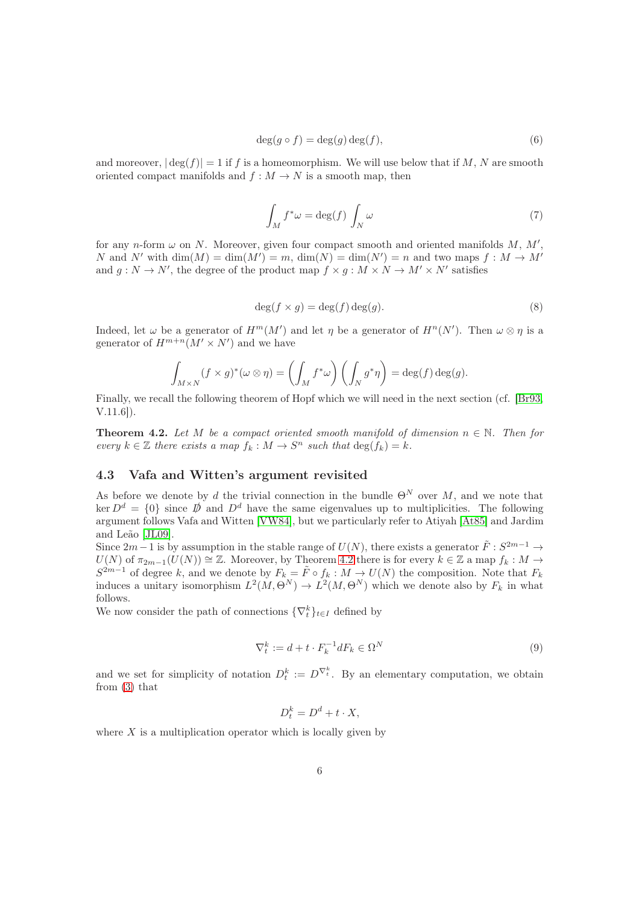$$
\deg(g \circ f) = \deg(g) \deg(f),\tag{6}
$$

and moreover,  $|\deg(f)| = 1$  if f is a homeomorphism. We will use below that if M, N are smooth oriented compact manifolds and  $f : M \to N$  is a smooth map, then

$$
\int_{M} f^* \omega = \deg(f) \int_{N} \omega \tag{7}
$$

for any n-form  $\omega$  on N. Moreover, given four compact smooth and oriented manifolds  $M$ ,  $M'$ , N and N' with  $\dim(M) = \dim(M') = m$ ,  $\dim(N) = \dim(N') = n$  and two maps  $f : M \to M'$ and  $g: N \to N'$ , the degree of the product map  $f \times g: M \times N \to M' \times N'$  satisfies

$$
\deg(f \times g) = \deg(f) \deg(g). \tag{8}
$$

Indeed, let  $\omega$  be a generator of  $H^m(M')$  and let  $\eta$  be a generator of  $H^n(N')$ . Then  $\omega \otimes \eta$  is a generator of  $H^{m+n}(M' \times N')$  and we have

$$
\int_{M\times N} (f \times g)^*(\omega \otimes \eta) = \left(\int_M f^*\omega\right) \left(\int_N g^*\eta\right) = \deg(f) \deg(g).
$$

Finally, we recall the following theorem of Hopf which we will need in the next section (cf. [\[Br93,](#page-7-13) V.11.6]).

**Theorem 4.2.** Let M be a compact oriented smooth manifold of dimension  $n \in \mathbb{N}$ . Then for every  $k \in \mathbb{Z}$  there exists a map  $f_k : M \to S^n$  such that  $\deg(f_k) = k$ .

#### 4.3 Vafa and Witten's argument revisited

As before we denote by d the trivial connection in the bundle  $\Theta^N$  over M, and we note that ker  $D^d = \{0\}$  since  $\vec{D}$  and  $D^d$  have the same eigenvalues up to multiplicities. The following argument follows Vafa and Witten [\[VW84\]](#page-7-1), but we particularly refer to Atiyah [\[At85\]](#page-7-3) and Jardim and Leão [\[JL09\]](#page-7-7).

Since  $2m-1$  is by assumption in the stable range of  $U(N)$ , there exists a generator  $\tilde{F}: S^{2m-1} \to$  $U(N)$  of  $\pi_{2m-1}(U(N)) \cong \mathbb{Z}$ . Moreover, by Theorem [4.2](#page-5-0) there is for every  $k \in \mathbb{Z}$  a map  $f_k : M \to$  $S^{2m-1}$  of degree k, and we denote by  $F_k = \tilde{F} \circ f_k : M \to U(N)$  the composition. Note that  $F_k$ induces a unitary isomorphism  $L^2(M, \Theta^N) \to L^2(M, \Theta^N)$  which we denote also by  $F_k$  in what follows.

We now consider the path of connections  $\{\nabla_t^k\}_{t\in I}$  defined by

$$
\nabla_t^k := d + t \cdot F_k^{-1} dF_k \in \Omega^N \tag{9}
$$

and we set for simplicity of notation  $D_t^k := D^{\nabla_t^k}$ . By an elementary computation, we obtain from [\(3\)](#page-2-0) that

<span id="page-6-0"></span>
$$
D_t^k = D^d + t \cdot X,
$$

where  $X$  is a multiplication operator which is locally given by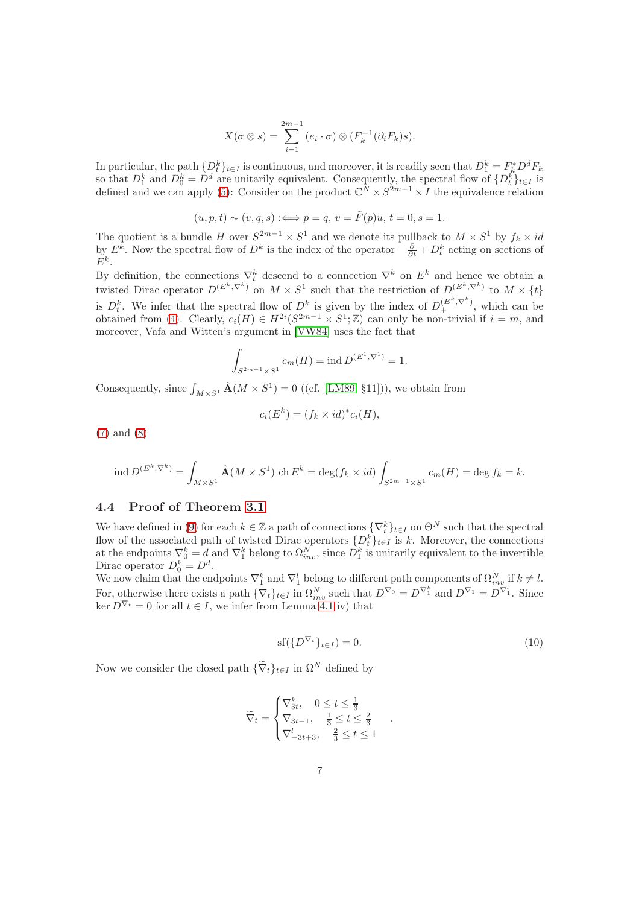$$
X(\sigma \otimes s) = \sum_{i=1}^{2m-1} (e_i \cdot \sigma) \otimes (F_k^{-1}(\partial_i F_k)s).
$$

In particular, the path  $\{D_t^k\}_{t\in I}$  is continuous, and moreover, it is readily seen that  $D_1^k = F_k^* D^d F_k$ so that  $D_1^k$  and  $D_0^k = D^d$  are unitarily equivalent. Consequently, the spectral flow of  $\{D_t^k\}_{t\in I}$  is defined and we can apply [\(5\)](#page-4-0): Consider on the product  $\mathbb{C}^N \times S^{2m-1} \times I$  the equivalence relation

$$
(u, p, t) \sim (v, q, s) :\Longleftrightarrow p = q, v = \tilde{F}(p)u, t = 0, s = 1.
$$

The quotient is a bundle H over  $S^{2m-1} \times S^1$  and we denote its pullback to  $M \times S^1$  by  $f_k \times id$ by  $E^k$ . Now the spectral flow of  $D^k$  is the index of the operator  $-\frac{\partial}{\partial t} + D_t^k$  acting on sections of  $E^k$ .

<span id="page-7-3"></span><span id="page-7-2"></span>By definition, the connections  $\nabla_t^k$  descend to a connection  $\nabla^k$  on  $E^k$  and hence we obtain a twisted Dirac operator  $D^{(E^k, \nabla^k)}$  on  $M \times S^1$  such that the restriction of  $D^{(E^k, \nabla^k)}$  to  $M \times \{t\}$ is  $D_t^k$ . We infer that the spectral flow of  $D^k$  is given by the index of  $D_+^{(E^k,\nabla^k)}$ , which can be obtained from [\(4\)](#page-2-1). Clearly,  $c_i(H) \in H^{2i}(S^{2m-1} \times S^1; \mathbb{Z})$  can only be non-trivial if  $i = m$ , and moreover, Vafa and Witten's argument in [\[VW84\]](#page-7-1) uses the fact that

$$
\int_{S^{2m-1}\times S^1} c_m(H) = \text{ind } D^{(E^1,\nabla^1)} = 1.
$$

<span id="page-7-11"></span><span id="page-7-10"></span>Consequently, since  $\int_{M\times S^1} \hat{A}(M \times S^1) = 0$  ((cf. [\[LM89,](#page-7-9) §11])), we obtain from

$$
c_i(E^k) = (f_k \times id)^* c_i(H),
$$

<span id="page-7-13"></span>[\(7\)](#page-5-1) and [\(8\)](#page-5-2)

<span id="page-7-4"></span>
$$
\operatorname{ind} D^{(E^k,\nabla^k)} = \int_{M\times S^1} \hat{\mathbf{A}}(M\times S^1) \operatorname{ch} E^k = \deg(f_k\times id) \int_{S^{2m-1}\times S^1} c_m(H) = \deg f_k = k.
$$

#### <span id="page-7-0"></span>4.4 Proof of Theorem [3.1](#page-3-0)

<span id="page-7-5"></span>We have defined in [\(9\)](#page-5-3) for each  $k \in \mathbb{Z}$  a path of connections  $\{\nabla_t^k\}_{t \in I}$  on  $\Theta^N$  such that the spectral flow of the associated path of twisted Dirac operators  $\{D_t^k\}_{t\in I}$  is k. Moreover, the connections at the endpoints  $\nabla_0^k = d$  and  $\nabla_1^k$  belong to  $\Omega_{inv}^N$ , since  $D_1^k$  is unitarily equivalent to the invertible Dirac operator  $D_0^k = D^d$ .

<span id="page-7-12"></span><span id="page-7-7"></span>We now claim that the endpoints  $\nabla_1^k$  and  $\nabla_1^l$  belong to different path components of  $\Omega_{inv}^N$  if  $k \neq l$ . For, otherwise there exists a path  $\{\nabla_t\}_{t\in I}$  in  $\Omega_{inv}^N$  such that  $D^{\nabla_0} = D^{\nabla_1^k}$  and  $D^{\nabla_1} = D^{\nabla_1^l}$ . Since  $\ker D^{\nabla_t} = 0$  for all  $t \in I$ , we infer from Lemma [4.1](#page-3-1) iv) that

$$
sf(\lbrace D^{\nabla_t} \rbrace_{t \in I}) = 0. \tag{10}
$$

.

<span id="page-7-9"></span><span id="page-7-8"></span><span id="page-7-6"></span><span id="page-7-1"></span>Now we consider the closed path  $\{\widetilde{\nabla}_t\}_{t\in I}$  in  $\Omega^N$  defined by

$$
\widetilde{\nabla}_t = \begin{cases} \nabla_{3t}^k, & 0 \leq t \leq \frac{1}{3} \\ \nabla_{3t-1}, & \frac{1}{3} \leq t \leq \frac{2}{3} \\ \nabla_{-3t+3}^l, & \frac{2}{3} \leq t \leq 1 \end{cases}
$$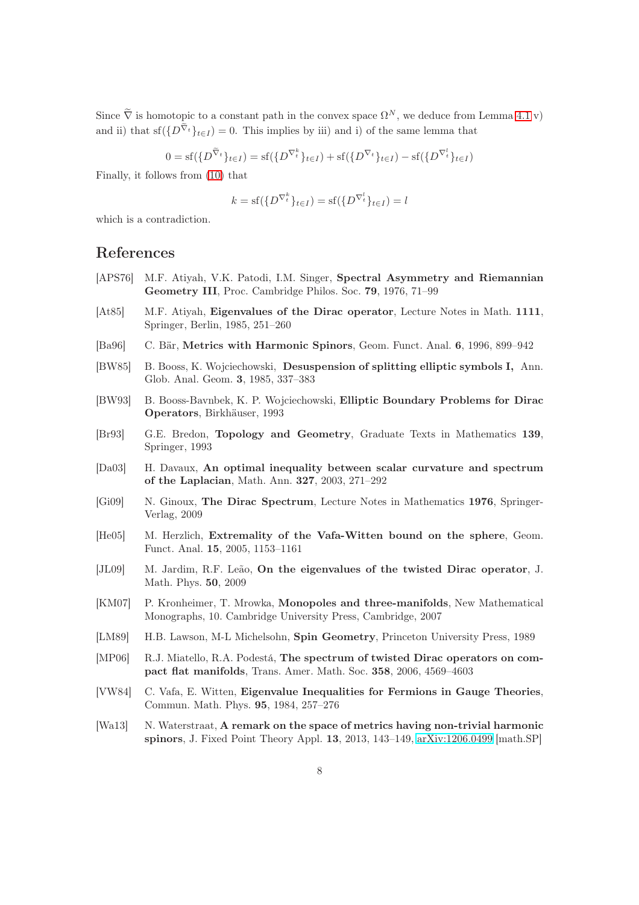<span id="page-8-0"></span>Since  $\tilde{\nabla}$  is homotopic to a constant path in the convex space  $\Omega^N$ , we deduce from Lemma [4.1](#page-3-1) v) and ii) that sf( $\{D^{\tilde{\nabla}}t\}_{t\in I}$  = 0. This implies by iii) and i) of the same lemma that

$$
0 = \mathrm{sf}(\{D^{\widetilde{\nabla}_t}\}_{t \in I}) = \mathrm{sf}(\{D^{\nabla_t^k}\}_{t \in I}) + \mathrm{sf}(\{D^{\nabla_t}\}_{t \in I}) - \mathrm{sf}(\{D^{\nabla_t^l}\}_{t \in I})
$$

Finally, it follows from [\(10\)](#page-6-0) that

$$
k = \mathrm{sf}(\{D^{\nabla_t^k}\}_{t \in I}) = \mathrm{sf}(\{D^{\nabla_t^l}\}_{t \in I}) = l
$$

which is a contradiction.

#### References

- [APS76] M.F. Atiyah, V.K. Patodi, I.M. Singer, Spectral Asymmetry and Riemannian Geometry III, Proc. Cambridge Philos. Soc. 79, 1976, 71–99
- [At85] M.F. Atiyah, Eigenvalues of the Dirac operator, Lecture Notes in Math. 1111, Springer, Berlin, 1985, 251–260
- [Ba96] C. Bär, Metrics with Harmonic Spinors, Geom. Funct. Anal. 6, 1996, 899–942
- [BW85] B. Booss, K. Wojciechowski, Desuspension of splitting elliptic symbols I, Ann. Glob. Anal. Geom. 3, 1985, 337–383
- [BW93] B. Booss-Bavnbek, K. P. Wojciechowski, Elliptic Boundary Problems for Dirac Operators, Birkhäuser, 1993
- [Br93] G.E. Bredon, Topology and Geometry, Graduate Texts in Mathematics 139, Springer, 1993
- [Da03] H. Davaux, An optimal inequality between scalar curvature and spectrum of the Laplacian, Math. Ann. 327, 2003, 271–292
- [Gi09] N. Ginoux, The Dirac Spectrum, Lecture Notes in Mathematics 1976, Springer-Verlag, 2009
- [He05] M. Herzlich, Extremality of the Vafa-Witten bound on the sphere, Geom. Funct. Anal. 15, 2005, 1153–1161
- [JL09] M. Jardim, R.F. Leão, On the eigenvalues of the twisted Dirac operator, J. Math. Phys. 50, 2009
- [KM07] P. Kronheimer, T. Mrowka, Monopoles and three-manifolds, New Mathematical Monographs, 10. Cambridge University Press, Cambridge, 2007
- [LM89] H.B. Lawson, M-L Michelsohn, Spin Geometry, Princeton University Press, 1989
- [MP06] R.J. Miatello, R.A. Podestá, The spectrum of twisted Dirac operators on compact flat manifolds, Trans. Amer. Math. Soc. 358, 2006, 4569–4603
- [VW84] C. Vafa, E. Witten, Eigenvalue Inequalities for Fermions in Gauge Theories, Commun. Math. Phys. 95, 1984, 257–276
- [Wa13] N. Waterstraat, A remark on the space of metrics having non-trivial harmonic spinors, J. Fixed Point Theory Appl. 13, 2013, 143–149, [arXiv:1206.0499](http://arxiv.org/abs/1206.0499) [math.SP]